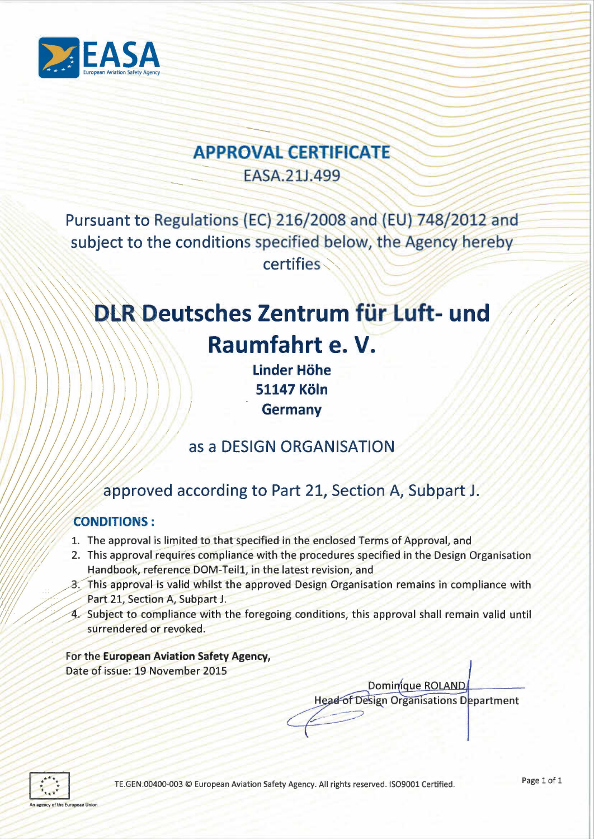

# **APPROVAL CERTIFICATE**

EASA.21J.499

Pursuant to Regulations (EC) 216/2008 and (EU) 748/2012 and subject to the conditions specified below, the Agency hereby certifies

# DLR Deutsches Zentrum für Luft- und Raumfahrt e.V.

**Linder Höhe 51147 Köln Germany** 

# as a DESIGN ORGANISATION

# approved according to Part 21, Section A, Subpart J.

## **CONDITIONS:**

- 1. The approval is limited to that specified in the enclosed Terms of Approval, and
- 2. This approval requires compliance with the procedures specified in the Design Organisation Handbook, reference DOM-Teil1, in the latest revision, and
- 3. This approval is valid whilst the approved Design Organisation remains in compliance with Part 21, Section A, Subpart J.
- 4. Subject to compliance with the foregoing conditions, this approval shall remain valid until surrendered or revoked.

For the European Aviation Safety Agency, Date of issue: 19 November 2015

> Dominique ROLAND **Head of Design Organisations Department**



~~~  $\times$  /  $\times$ 

/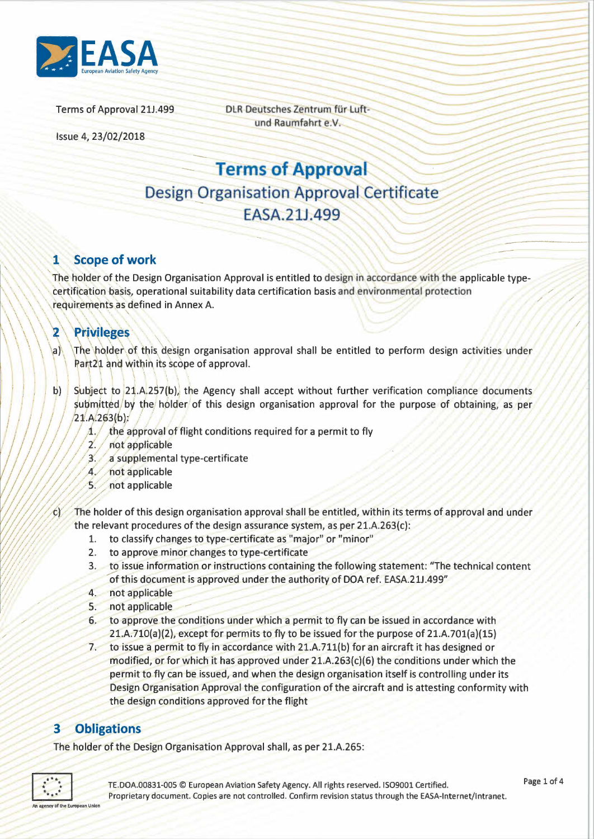

DLR Deutsches Zentrum für Luftund Raumfahrt e.V.

Issue 4, 23/02/2018

**Terms of Approval Design Organisation Approval Certificate FASA 211.499** 

#### **Scope of work**  $\mathbf{1}$

The holder of the Design Organisation Approval is entitled to design in accordance with the applicable typecertification basis, operational suitability data certification basis and environmental protection requirements as defined in Annex A.

#### $\overline{\mathbf{2}}$ **Privileges**

- The holder of this design organisation approval shall be entitled to perform design activities under  $|a|$ Part21 and within its scope of approval.
- Subject to 21.A.257(b), the Agency shall accept without further verification compliance documents  $\mathbf{b}$ submitted/by the holder of this design organisation approval for the purpose of obtaining, as per  $(21.A.263(b))$ 
	- the approval of flight conditions required for a permit to fly  $\Lambda$ .
	- $2.1$ not applicable
	- $3.7$ a supplemental type-certificate
	- 4. not applicable
	- $5.7$ not applicable
- The holder of this design organisation approval shall be entitled, within its terms of approval and under  $\epsilon$ the relevant procedures of the design assurance system, as per 21.A.263(c):
	- to classify changes to type-certificate as "major" or "minor" 1.
	- to approve minor changes to type-certificate  $2.$
	- 3. to issue information or instructions containing the following statement: "The technical content of this document is approved under the authority of DOA ref. EASA.21J.499"
	- 4. not applicable
	- 5. not applicable
	- 6. to approve the conditions under which a permit to fly can be issued in accordance with  $21.A.710(a)(2)$ , except for permits to fly to be issued for the purpose of  $21.A.701(a)(15)$
	- to issue a permit to fly in accordance with 21.A.711(b) for an aircraft it has designed or  $7$ modified, or for which it has approved under  $21.A.263(c)(6)$  the conditions under which the permit to fly can be issued, and when the design organisation itself is controlling under its Design Organisation Approval the configuration of the aircraft and is attesting conformity with the design conditions approved for the flight

#### **Obligations**  $3 -$

The holder of the Design Organisation Approval shall, as per 21.A.265:

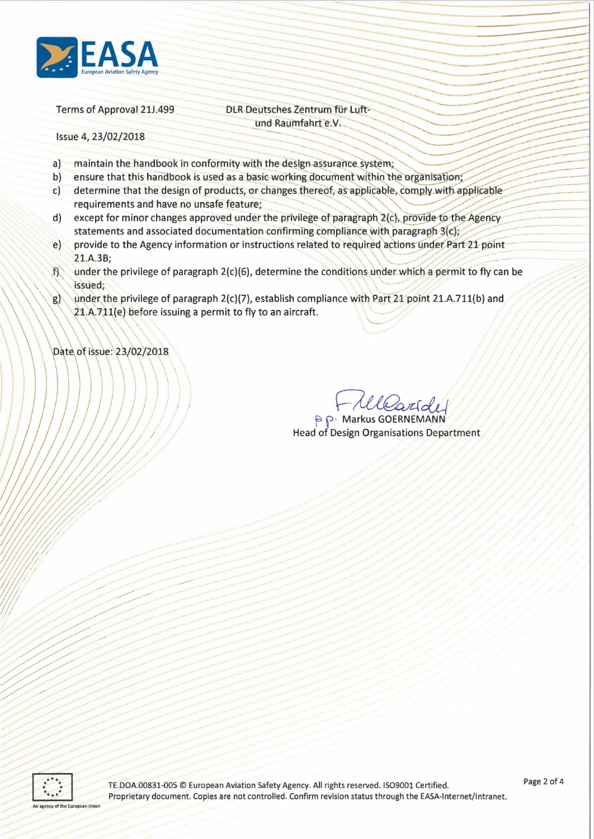

DLR Deutsches Zentrum für Luftund Raumfahrt e.V.

Issue 4, 23/02/2018

- $a)$ maintain the handbook in conformity with the design assurance system;
- b) ensure that this handbook is used as a basic working document within the organisation;
- determine that the design of products, or changes thereof, as applicable, comply with applicable  $c)$ requirements and have no unsafe feature;
- except for minor changes approved under the privilege of paragraph 2(c), provide to the Agency  $\mathsf{d}$ statements and associated documentation confirming compliance with paragraph 3(c);
- provide to the Agency information or instructions related to required actions under Part 21 point  $e)$ 21.A.3B:
- under the privilege of paragraph 2(c)(6), determine the conditions under which a permit to fly can be  $\mathcal{R}$ issued;
- under the privilege of paragraph 2(c)(7), establish compliance with Part 21 point 21.A.711(b) and  $g)$ 21.A.711(e) before issuing a permit to fly to an aircraft.

Date of issue: 23/02/2018

**P.P. Markus GOERNEMANN Head of Design Organisations Department** 

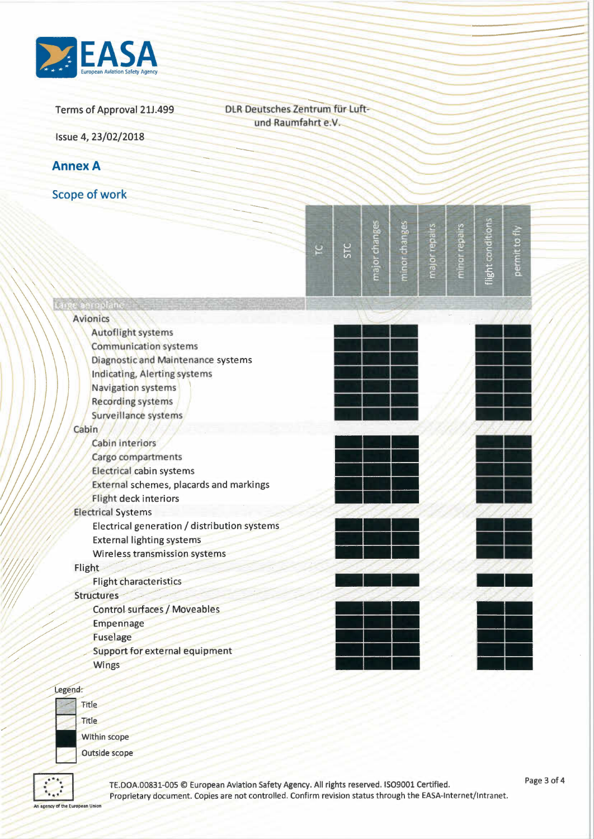

DLR Deutsches Zentrum für Luftund Raumfahrt e.V.

Issue 4, 23/02/2018

**Annex A** 

**Scope of work** 

|                                              | ē | STC | major chang | minor change | major repairs | minor repairs | ght conditio | €<br>g<br>permit |  |
|----------------------------------------------|---|-----|-------------|--------------|---------------|---------------|--------------|------------------|--|
| re anropland                                 |   |     |             |              |               |               |              |                  |  |
| <b>Avionics</b>                              |   |     |             |              |               |               |              |                  |  |
| <b>Autoflight systems</b>                    |   |     |             |              |               |               |              |                  |  |
| <b>Communication systems</b>                 |   |     |             |              |               |               |              |                  |  |
| Diagnostic and Maintenance systems           |   |     |             |              |               |               |              |                  |  |
| Indicating, Alerting systems                 |   |     |             |              |               |               |              |                  |  |
| <b>Navigation systems</b>                    |   |     |             |              |               |               |              |                  |  |
| <b>Recording systems</b>                     |   |     |             |              |               |               |              |                  |  |
| Surveillance systems                         |   |     |             |              |               |               |              |                  |  |
| Cabin                                        |   |     |             |              |               |               |              |                  |  |
| Cabin interiors                              |   |     |             |              |               |               |              |                  |  |
| Cargo compartments                           |   |     |             |              |               |               |              |                  |  |
| Electrical cabin systems                     |   |     |             |              |               |               |              |                  |  |
| External schemes, placards and markings      |   |     |             |              |               |               |              |                  |  |
| Flight deck interiors                        |   |     |             |              |               |               |              |                  |  |
| <b>Electrical Systems</b>                    |   |     |             |              |               |               |              |                  |  |
| Electrical generation / distribution systems |   |     |             |              |               |               |              |                  |  |
| <b>External lighting systems</b>             |   |     |             |              |               |               |              |                  |  |
| Wireless transmission systems                |   |     |             |              |               |               |              |                  |  |
| Flight                                       |   |     |             |              |               |               |              |                  |  |
| <b>Flight characteristics</b>                |   |     |             |              |               |               |              |                  |  |
| <b>Structures</b>                            |   |     |             |              |               |               |              |                  |  |
| <b>Control surfaces / Moveables</b>          |   |     |             |              |               |               |              |                  |  |
| <b>Empennage</b>                             |   |     |             |              |               |               |              |                  |  |
| <b>Fuselage</b>                              |   |     |             |              |               |               |              |                  |  |
| <b>Support for external equipment</b>        |   |     |             |              |               |               |              |                  |  |
| Wings                                        |   |     |             |              |               |               |              |                  |  |

### Legend:

**Title** Title **Within scope** 

**Outside scope** 

TE.DOA.00831-005 © European Aviation Safety Agency. All rights reserved. ISO9001 Certified. Proprietary document. Copies are not controlled. Confirm revision status through the EASA-Internet/Intranet.

An agency of the European Union